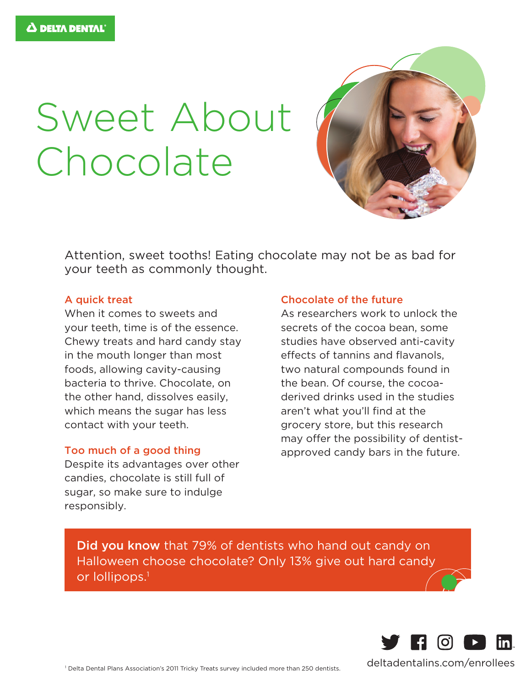# Sweet About Chocolate



Attention, sweet tooths! Eating chocolate may not be as bad for your teeth as commonly thought.

### A quick treat

When it comes to sweets and your teeth, time is of the essence. Chewy treats and hard candy stay in the mouth longer than most foods, allowing cavity-causing bacteria to thrive. Chocolate, on the other hand, dissolves easily, which means the sugar has less contact with your teeth.

#### Too much of a good thing

Despite its advantages over other candies, chocolate is still full of sugar, so make sure to indulge responsibly.

### Chocolate of the future

As researchers work to unlock the secrets of the cocoa bean, some studies have observed anti-cavity effects of tannins and flavanols, two natural compounds found in the bean. Of course, the cocoaderived drinks used in the studies aren't what you'll find at the grocery store, but this research may offer the possibility of dentistapproved candy bars in the future.

Did you know that 79% of dentists who hand out candy on Halloween choose chocolate? Only 13% give out hard candy or lollipops.<sup>1</sup>



1 Delta Dental Plans Association's 2011 Tricky Treats survey included more than 250 dentists. deltadentalins.com/enrollees